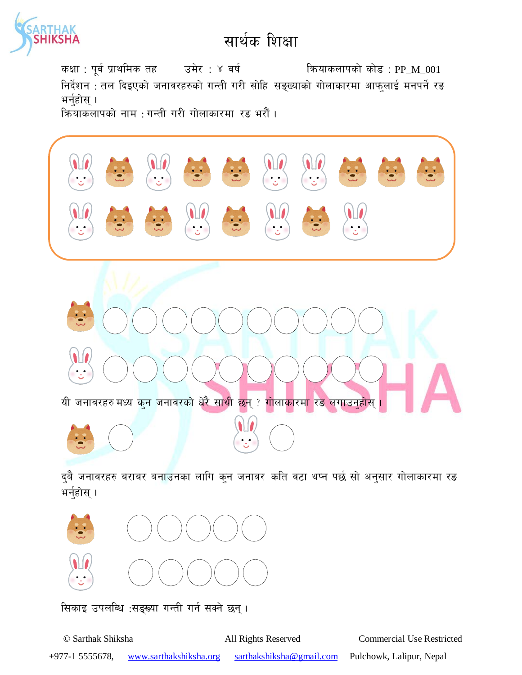

## सार्थक शिक्षा

कक्षा : पूर्व प्राथमिक तह उमेर : ४ वर्ष कियाकलापको कोड : PP\_M\_001 निर्देशन : तल दिइएको जनावरहरुको गन्ती गरी सोहि सङ्ख्याको गोलाकारमा आफुलाई मनपर्ने रङ भर्नुहोस् ।

क्रियाकलापको नाम : गन्ती गरी गोलाकारमा रङ भरौं।



दुबै जनावरहरु बराबर बनाउनका लागि कुन जनावर कति वटा थप्न पर्छ सो अनुसार गोलाकारमा रङ भर्नुहोस् ।

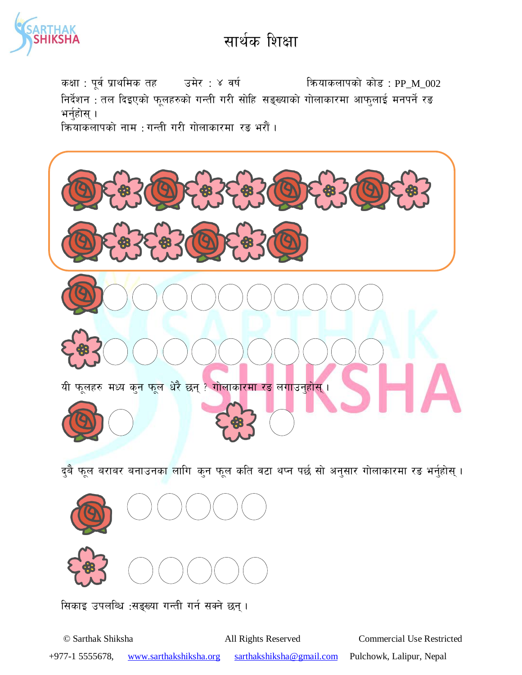

## सार्थक शिक्षा

कक्षा : पूर्व प्राथमिक तह उमेर : ४ वर्ष कियाकलापको कोड : PP M 002 निर्देशन : तल दिइएको फूलहरुको गन्ती गरी सोहि सङ्ख्याको गोलाकारमा आफुलाई मनपर्ने रङ भर्नुहोस् ।

क्रियाकलापको नाम : गन्ती गरी गोलाकारमा रङ भरौं।



दुबै फूल बराबर बनाउनक<mark>ा लागि कुन फूल कति वटा थप्न पर्छ सो अनुसार गोलाकारमा रङ भर्नुहोस् ।</mark>



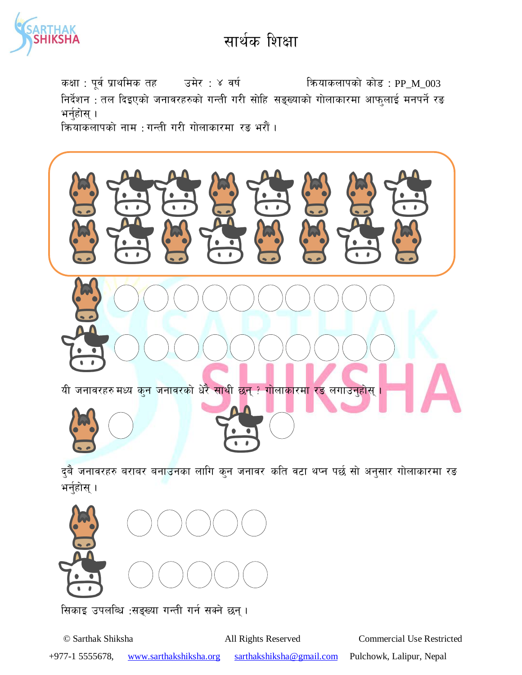

## सार्थक शिक्षा

कक्षा : पूर्व प्राथमिक तह उमेर : ४ वर्ष कियाकलापको कोड : PP M 003 निर्देशन : तल दिइएको जनावरहरुको गन्ती गरी सोहि सङ्ख्याको गोलाकारमा आफुलाई मनपर्ने रङ भर्नुहोस् । कियाकलापको नाम : गन्ती गरी गोलाकारमा रङ भरौं।



दुबै जनावरहरु बराबर बनाउनका लागि कुन जनावर कति वटा थप्न पर्छ सो अनुसार गोलाकारमा रङ भर्नुहोस् ।